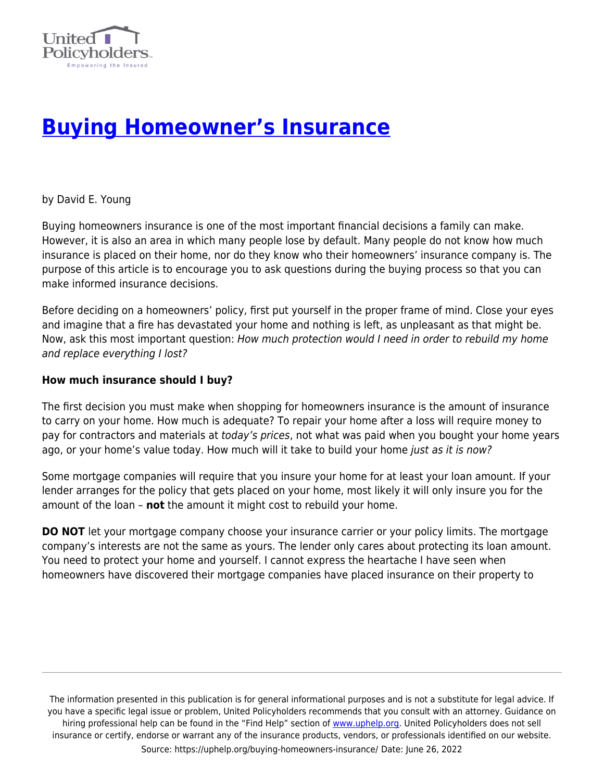

# **[Buying Homeowner's Insurance](https://uphelp.org/buying-homeowners-insurance/)**

by David E. Young

Buying homeowners insurance is one of the most important financial decisions a family can make. However, it is also an area in which many people lose by default. Many people do not know how much insurance is placed on their home, nor do they know who their homeowners' insurance company is. The purpose of this article is to encourage you to ask questions during the buying process so that you can make informed insurance decisions.

Before deciding on a homeowners' policy, first put yourself in the proper frame of mind. Close your eyes and imagine that a fire has devastated your home and nothing is left, as unpleasant as that might be. Now, ask this most important question: How much protection would I need in order to rebuild my home and replace everything I lost?

#### **How much insurance should I buy?**

The first decision you must make when shopping for homeowners insurance is the amount of insurance to carry on your home. How much is adequate? To repair your home after a loss will require money to pay for contractors and materials at today's prices, not what was paid when you bought your home years ago, or your home's value today. How much will it take to build your home just as it is now?

Some mortgage companies will require that you insure your home for at least your loan amount. If your lender arranges for the policy that gets placed on your home, most likely it will only insure you for the amount of the loan – **not** the amount it might cost to rebuild your home.

**DO NOT** let your mortgage company choose your insurance carrier or your policy limits. The mortgage company's interests are not the same as yours. The lender only cares about protecting its loan amount. You need to protect your home and yourself. I cannot express the heartache I have seen when homeowners have discovered their mortgage companies have placed insurance on their property to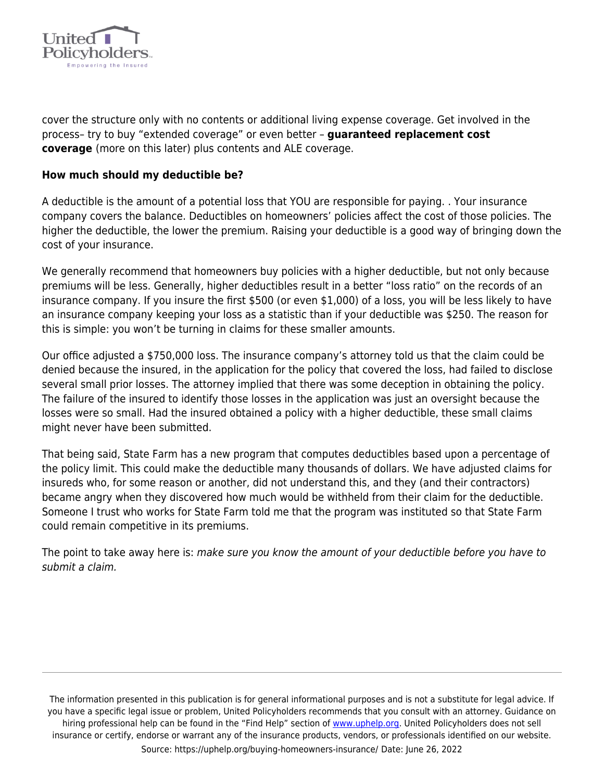

cover the structure only with no contents or additional living expense coverage. Get involved in the process– try to buy "extended coverage" or even better – **guaranteed replacement cost coverage** (more on this later) plus contents and ALE coverage.

#### **How much should my deductible be?**

A deductible is the amount of a potential loss that YOU are responsible for paying. . Your insurance company covers the balance. Deductibles on homeowners' policies affect the cost of those policies. The higher the deductible, the lower the premium. Raising your deductible is a good way of bringing down the cost of your insurance.

We generally recommend that homeowners buy policies with a higher deductible, but not only because premiums will be less. Generally, higher deductibles result in a better "loss ratio" on the records of an insurance company. If you insure the first \$500 (or even \$1,000) of a loss, you will be less likely to have an insurance company keeping your loss as a statistic than if your deductible was \$250. The reason for this is simple: you won't be turning in claims for these smaller amounts.

Our office adjusted a \$750,000 loss. The insurance company's attorney told us that the claim could be denied because the insured, in the application for the policy that covered the loss, had failed to disclose several small prior losses. The attorney implied that there was some deception in obtaining the policy. The failure of the insured to identify those losses in the application was just an oversight because the losses were so small. Had the insured obtained a policy with a higher deductible, these small claims might never have been submitted.

That being said, State Farm has a new program that computes deductibles based upon a percentage of the policy limit. This could make the deductible many thousands of dollars. We have adjusted claims for insureds who, for some reason or another, did not understand this, and they (and their contractors) became angry when they discovered how much would be withheld from their claim for the deductible. Someone I trust who works for State Farm told me that the program was instituted so that State Farm could remain competitive in its premiums.

The point to take away here is: make sure you know the amount of your deductible before you have to submit a claim.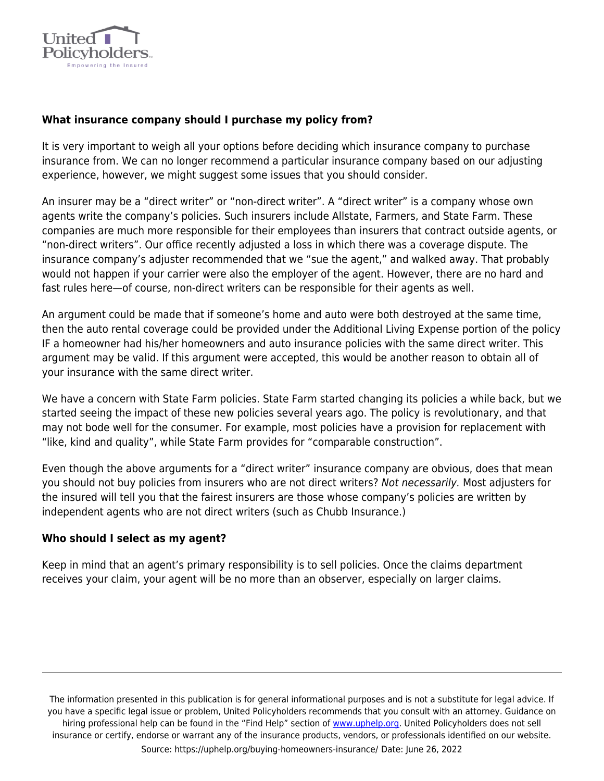

## **What insurance company should I purchase my policy from?**

It is very important to weigh all your options before deciding which insurance company to purchase insurance from. We can no longer recommend a particular insurance company based on our adjusting experience, however, we might suggest some issues that you should consider.

An insurer may be a "direct writer" or "non-direct writer". A "direct writer" is a company whose own agents write the company's policies. Such insurers include Allstate, Farmers, and State Farm. These companies are much more responsible for their employees than insurers that contract outside agents, or "non-direct writers". Our office recently adjusted a loss in which there was a coverage dispute. The insurance company's adjuster recommended that we "sue the agent," and walked away. That probably would not happen if your carrier were also the employer of the agent. However, there are no hard and fast rules here—of course, non-direct writers can be responsible for their agents as well.

An argument could be made that if someone's home and auto were both destroyed at the same time, then the auto rental coverage could be provided under the Additional Living Expense portion of the policy IF a homeowner had his/her homeowners and auto insurance policies with the same direct writer. This argument may be valid. If this argument were accepted, this would be another reason to obtain all of your insurance with the same direct writer.

We have a concern with State Farm policies. State Farm started changing its policies a while back, but we started seeing the impact of these new policies several years ago. The policy is revolutionary, and that may not bode well for the consumer. For example, most policies have a provision for replacement with "like, kind and quality", while State Farm provides for "comparable construction".

Even though the above arguments for a "direct writer" insurance company are obvious, does that mean you should not buy policies from insurers who are not direct writers? Not necessarily. Most adjusters for the insured will tell you that the fairest insurers are those whose company's policies are written by independent agents who are not direct writers (such as Chubb Insurance.)

#### **Who should I select as my agent?**

Keep in mind that an agent's primary responsibility is to sell policies. Once the claims department receives your claim, your agent will be no more than an observer, especially on larger claims.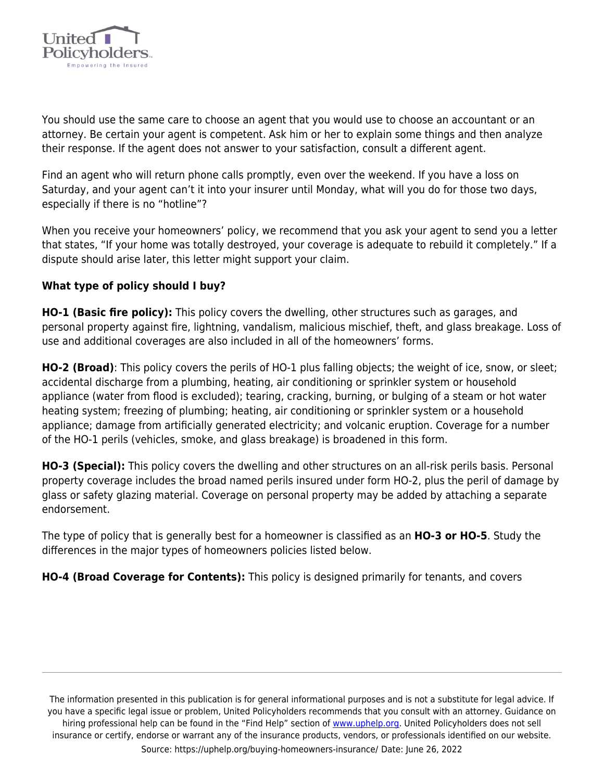

You should use the same care to choose an agent that you would use to choose an accountant or an attorney. Be certain your agent is competent. Ask him or her to explain some things and then analyze their response. If the agent does not answer to your satisfaction, consult a different agent.

Find an agent who will return phone calls promptly, even over the weekend. If you have a loss on Saturday, and your agent can't it into your insurer until Monday, what will you do for those two days, especially if there is no "hotline"?

When you receive your homeowners' policy, we recommend that you ask your agent to send you a letter that states, "If your home was totally destroyed, your coverage is adequate to rebuild it completely." If a dispute should arise later, this letter might support your claim.

## **What type of policy should I buy?**

**HO-1 (Basic fire policy):** This policy covers the dwelling, other structures such as garages, and personal property against fire, lightning, vandalism, malicious mischief, theft, and glass breakage. Loss of use and additional coverages are also included in all of the homeowners' forms.

**HO-2 (Broad)**: This policy covers the perils of HO-1 plus falling objects; the weight of ice, snow, or sleet; accidental discharge from a plumbing, heating, air conditioning or sprinkler system or household appliance (water from flood is excluded); tearing, cracking, burning, or bulging of a steam or hot water heating system; freezing of plumbing; heating, air conditioning or sprinkler system or a household appliance; damage from artificially generated electricity; and volcanic eruption. Coverage for a number of the HO-1 perils (vehicles, smoke, and glass breakage) is broadened in this form.

**HO-3 (Special):** This policy covers the dwelling and other structures on an all-risk perils basis. Personal property coverage includes the broad named perils insured under form HO-2, plus the peril of damage by glass or safety glazing material. Coverage on personal property may be added by attaching a separate endorsement.

The type of policy that is generally best for a homeowner is classified as an **HO-3 or HO-5**. Study the differences in the major types of homeowners policies listed below.

**HO-4 (Broad Coverage for Contents):** This policy is designed primarily for tenants, and covers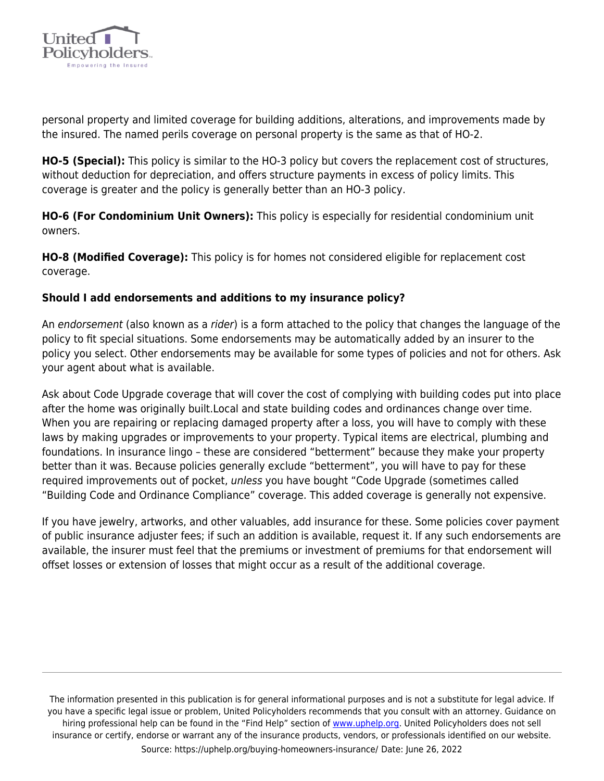

personal property and limited coverage for building additions, alterations, and improvements made by the insured. The named perils coverage on personal property is the same as that of HO-2.

**HO-5 (Special):** This policy is similar to the HO-3 policy but covers the replacement cost of structures, without deduction for depreciation, and offers structure payments in excess of policy limits. This coverage is greater and the policy is generally better than an HO-3 policy.

**HO-6 (For Condominium Unit Owners):** This policy is especially for residential condominium unit owners.

**HO-8 (Modified Coverage):** This policy is for homes not considered eligible for replacement cost coverage.

# **Should I add endorsements and additions to my insurance policy?**

An endorsement (also known as a rider) is a form attached to the policy that changes the language of the policy to fit special situations. Some endorsements may be automatically added by an insurer to the policy you select. Other endorsements may be available for some types of policies and not for others. Ask your agent about what is available.

Ask about Code Upgrade coverage that will cover the cost of complying with building codes put into place after the home was originally built.Local and state building codes and ordinances change over time. When you are repairing or replacing damaged property after a loss, you will have to comply with these laws by making upgrades or improvements to your property. Typical items are electrical, plumbing and foundations. In insurance lingo – these are considered "betterment" because they make your property better than it was. Because policies generally exclude "betterment", you will have to pay for these required improvements out of pocket, unless you have bought "Code Upgrade (sometimes called "Building Code and Ordinance Compliance" coverage. This added coverage is generally not expensive.

If you have jewelry, artworks, and other valuables, add insurance for these. Some policies cover payment of public insurance adjuster fees; if such an addition is available, request it. If any such endorsements are available, the insurer must feel that the premiums or investment of premiums for that endorsement will offset losses or extension of losses that might occur as a result of the additional coverage.